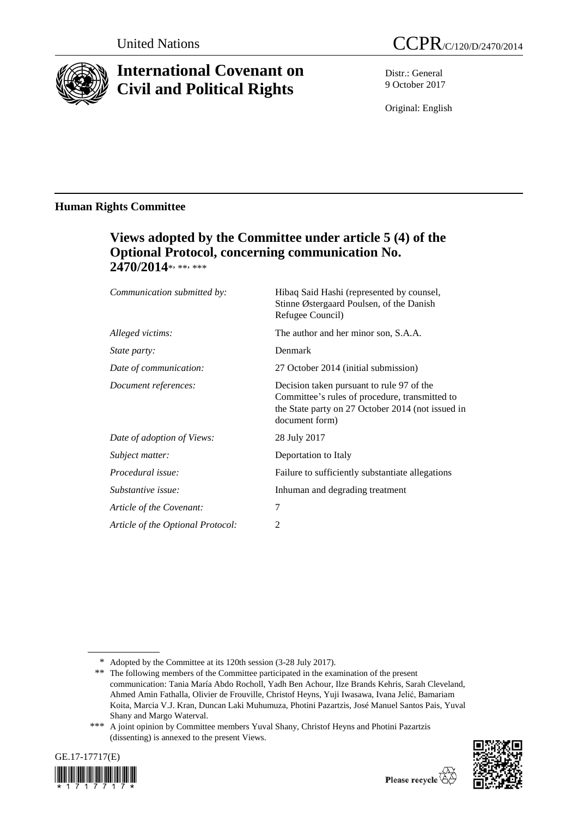

# **International Covenant on Civil and Political Rights**

Distr.: General 9 October 2017

Original: English

### **Human Rights Committee**

## **Views adopted by the Committee under article 5 (4) of the Optional Protocol, concerning communication No.** 2470/2014\*, \*\*, \*\*\*

| Communication submitted by:       | Hibaq Said Hashi (represented by counsel,<br>Stinne Østergaard Poulsen, of the Danish<br>Refugee Council)                                                          |
|-----------------------------------|--------------------------------------------------------------------------------------------------------------------------------------------------------------------|
| Alleged victims:                  | The author and her minor son, S.A.A.                                                                                                                               |
| <i>State party:</i>               | Denmark                                                                                                                                                            |
| Date of communication:            | 27 October 2014 (initial submission)                                                                                                                               |
| Document references:              | Decision taken pursuant to rule 97 of the<br>Committee's rules of procedure, transmitted to<br>the State party on 27 October 2014 (not issued in<br>document form) |
| Date of adoption of Views:        | 28 July 2017                                                                                                                                                       |
| Subject matter:                   | Deportation to Italy                                                                                                                                               |
| Procedural issue:                 | Failure to sufficiently substantiate allegations                                                                                                                   |
| Substantive issue:                | Inhuman and degrading treatment                                                                                                                                    |
| Article of the Covenant:          | 7                                                                                                                                                                  |
| Article of the Optional Protocol: | 2                                                                                                                                                                  |
|                                   |                                                                                                                                                                    |

<sup>\*\*\*</sup> A joint opinion by Committee members Yuval Shany, Christof Heyns and Photini Pazartzis (dissenting) is annexed to the present Views.





<sup>\*</sup> Adopted by the Committee at its 120th session (3-28 July 2017).

<sup>\*\*</sup> The following members of the Committee participated in the examination of the present communication: Tania María Abdo Rocholl, Yadh Ben Achour, Ilze Brands Kehris, Sarah Cleveland, Ahmed Amin Fathalla, Olivier de Frouville, Christof Heyns, Yuji Iwasawa, Ivana Jelić, Bamariam Koita, Marcia V.J. Kran, Duncan Laki Muhumuza, Photini Pazartzis, José Manuel Santos Pais, Yuval Shany and Margo Waterval.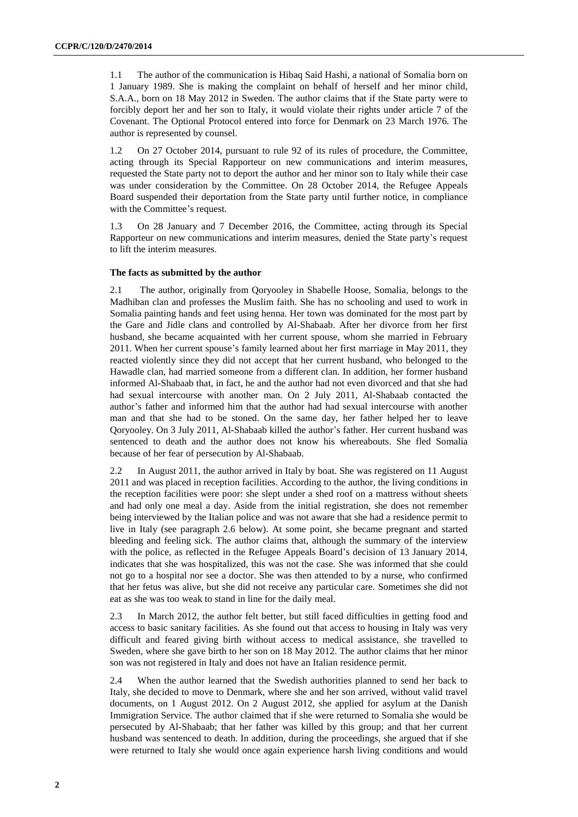1.1 The author of the communication is Hibaq Said Hashi, a national of Somalia born on 1 January 1989. She is making the complaint on behalf of herself and her minor child, S.A.A., born on 18 May 2012 in Sweden. The author claims that if the State party were to forcibly deport her and her son to Italy, it would violate their rights under article 7 of the Covenant. The Optional Protocol entered into force for Denmark on 23 March 1976. The author is represented by counsel.

1.2 On 27 October 2014, pursuant to rule 92 of its rules of procedure, the Committee, acting through its Special Rapporteur on new communications and interim measures, requested the State party not to deport the author and her minor son to Italy while their case was under consideration by the Committee. On 28 October 2014, the Refugee Appeals Board suspended their deportation from the State party until further notice, in compliance with the Committee's request.

1.3 On 28 January and 7 December 2016, the Committee, acting through its Special Rapporteur on new communications and interim measures, denied the State party's request to lift the interim measures.

#### **The facts as submitted by the author**

2.1 The author, originally from Qoryooley in Shabelle Hoose, Somalia, belongs to the Madhiban clan and professes the Muslim faith. She has no schooling and used to work in Somalia painting hands and feet using henna. Her town was dominated for the most part by the Gare and Jidle clans and controlled by Al-Shabaab. After her divorce from her first husband, she became acquainted with her current spouse, whom she married in February 2011. When her current spouse's family learned about her first marriage in May 2011, they reacted violently since they did not accept that her current husband, who belonged to the Hawadle clan, had married someone from a different clan. In addition, her former husband informed Al-Shabaab that, in fact, he and the author had not even divorced and that she had had sexual intercourse with another man. On 2 July 2011, Al-Shabaab contacted the author's father and informed him that the author had had sexual intercourse with another man and that she had to be stoned. On the same day, her father helped her to leave Qoryooley. On 3 July 2011, Al-Shabaab killed the author's father. Her current husband was sentenced to death and the author does not know his whereabouts. She fled Somalia because of her fear of persecution by Al-Shabaab.

2.2 In August 2011, the author arrived in Italy by boat. She was registered on 11 August 2011 and was placed in reception facilities. According to the author, the living conditions in the reception facilities were poor: she slept under a shed roof on a mattress without sheets and had only one meal a day. Aside from the initial registration, she does not remember being interviewed by the Italian police and was not aware that she had a residence permit to live in Italy (see paragraph 2.6 below). At some point, she became pregnant and started bleeding and feeling sick. The author claims that, although the summary of the interview with the police, as reflected in the Refugee Appeals Board's decision of 13 January 2014, indicates that she was hospitalized, this was not the case. She was informed that she could not go to a hospital nor see a doctor. She was then attended to by a nurse, who confirmed that her fetus was alive, but she did not receive any particular care. Sometimes she did not eat as she was too weak to stand in line for the daily meal.

2.3 In March 2012, the author felt better, but still faced difficulties in getting food and access to basic sanitary facilities. As she found out that access to housing in Italy was very difficult and feared giving birth without access to medical assistance, she travelled to Sweden, where she gave birth to her son on 18 May 2012. The author claims that her minor son was not registered in Italy and does not have an Italian residence permit.

2.4 When the author learned that the Swedish authorities planned to send her back to Italy, she decided to move to Denmark, where she and her son arrived, without valid travel documents, on 1 August 2012. On 2 August 2012, she applied for asylum at the Danish Immigration Service. The author claimed that if she were returned to Somalia she would be persecuted by Al-Shabaab; that her father was killed by this group; and that her current husband was sentenced to death. In addition, during the proceedings, she argued that if she were returned to Italy she would once again experience harsh living conditions and would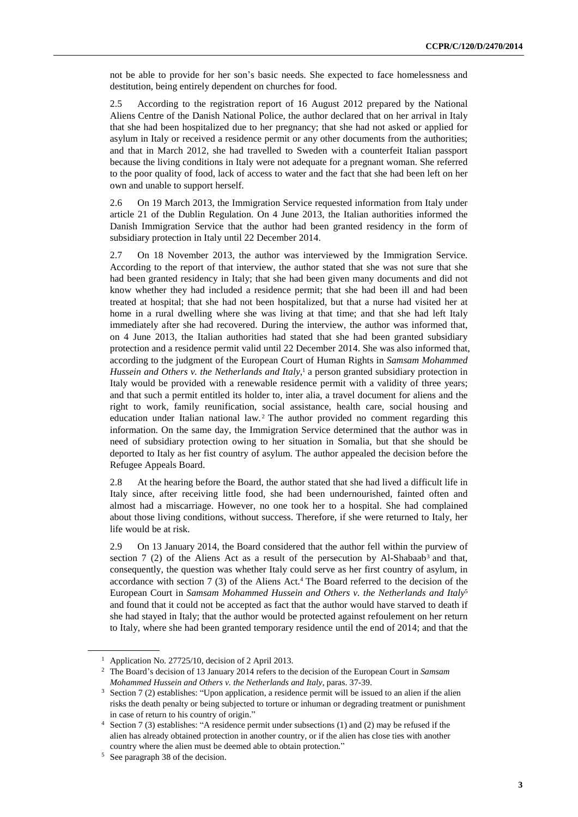not be able to provide for her son's basic needs. She expected to face homelessness and destitution, being entirely dependent on churches for food.

2.5 According to the registration report of 16 August 2012 prepared by the National Aliens Centre of the Danish National Police, the author declared that on her arrival in Italy that she had been hospitalized due to her pregnancy; that she had not asked or applied for asylum in Italy or received a residence permit or any other documents from the authorities; and that in March 2012, she had travelled to Sweden with a counterfeit Italian passport because the living conditions in Italy were not adequate for a pregnant woman. She referred to the poor quality of food, lack of access to water and the fact that she had been left on her own and unable to support herself.

2.6 On 19 March 2013, the Immigration Service requested information from Italy under article 21 of the Dublin Regulation. On 4 June 2013, the Italian authorities informed the Danish Immigration Service that the author had been granted residency in the form of subsidiary protection in Italy until 22 December 2014.

2.7 On 18 November 2013, the author was interviewed by the Immigration Service. According to the report of that interview, the author stated that she was not sure that she had been granted residency in Italy; that she had been given many documents and did not know whether they had included a residence permit; that she had been ill and had been treated at hospital; that she had not been hospitalized, but that a nurse had visited her at home in a rural dwelling where she was living at that time; and that she had left Italy immediately after she had recovered. During the interview, the author was informed that, on 4 June 2013, the Italian authorities had stated that she had been granted subsidiary protection and a residence permit valid until 22 December 2014. She was also informed that, according to the judgment of the European Court of Human Rights in *Samsam Mohammed Hussein and Others v. the Netherlands and Italy*, <sup>1</sup> a person granted subsidiary protection in Italy would be provided with a renewable residence permit with a validity of three years; and that such a permit entitled its holder to, inter alia, a travel document for aliens and the right to work, family reunification, social assistance, health care, social housing and education under Italian national law.<sup>2</sup> The author provided no comment regarding this information. On the same day, the Immigration Service determined that the author was in need of subsidiary protection owing to her situation in Somalia, but that she should be deported to Italy as her fist country of asylum. The author appealed the decision before the Refugee Appeals Board.

2.8 At the hearing before the Board, the author stated that she had lived a difficult life in Italy since, after receiving little food, she had been undernourished, fainted often and almost had a miscarriage. However, no one took her to a hospital. She had complained about those living conditions, without success. Therefore, if she were returned to Italy, her life would be at risk.

2.9 On 13 January 2014, the Board considered that the author fell within the purview of section 7 (2) of the Aliens Act as a result of the persecution by Al-Shabaab<sup>3</sup> and that, consequently, the question was whether Italy could serve as her first country of asylum, in accordance with section 7 (3) of the Aliens Act.<sup>4</sup> The Board referred to the decision of the European Court in *Samsam Mohammed Hussein and Others v. the Netherlands and Italy*<sup>5</sup> and found that it could not be accepted as fact that the author would have starved to death if she had stayed in Italy; that the author would be protected against refoulement on her return to Italy, where she had been granted temporary residence until the end of 2014; and that the

<sup>&</sup>lt;sup>1</sup> Application No. 27725/10, decision of 2 April 2013.

<sup>2</sup> The Board's decision of 13 January 2014 refers to the decision of the European Court in *Samsam Mohammed Hussein and Others v. the Netherlands and Italy*, paras. 37-39.

<sup>3</sup> Section 7 (2) establishes: "Upon application, a residence permit will be issued to an alien if the alien risks the death penalty or being subjected to torture or inhuman or degrading treatment or punishment in case of return to his country of origin."

<sup>4</sup> Section 7 (3) establishes: "A residence permit under subsections (1) and (2) may be refused if the alien has already obtained protection in another country, or if the alien has close ties with another country where the alien must be deemed able to obtain protection."

<sup>5</sup> See paragraph 38 of the decision.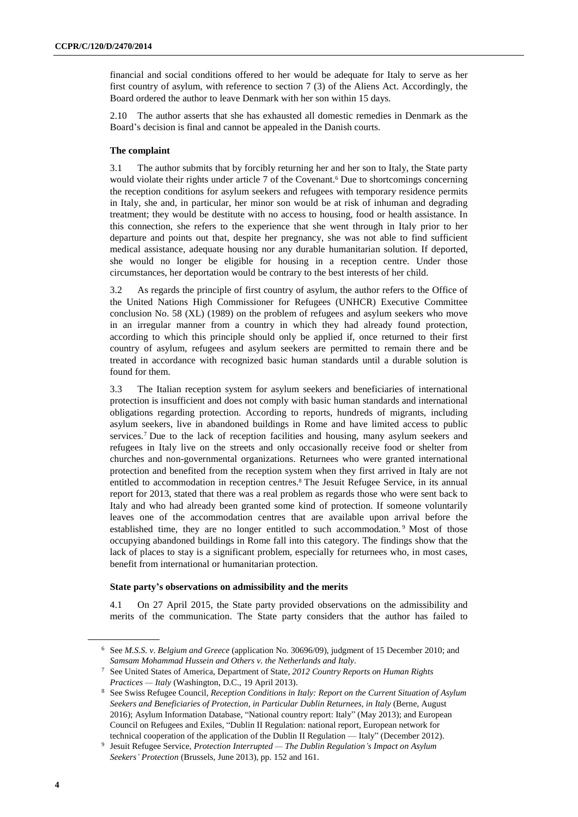financial and social conditions offered to her would be adequate for Italy to serve as her first country of asylum, with reference to section 7 (3) of the Aliens Act. Accordingly, the Board ordered the author to leave Denmark with her son within 15 days.

2.10 The author asserts that she has exhausted all domestic remedies in Denmark as the Board's decision is final and cannot be appealed in the Danish courts.

#### **The complaint**

3.1 The author submits that by forcibly returning her and her son to Italy, the State party would violate their rights under article  $7$  of the Covenant.<sup>6</sup> Due to shortcomings concerning the reception conditions for asylum seekers and refugees with temporary residence permits in Italy, she and, in particular, her minor son would be at risk of inhuman and degrading treatment; they would be destitute with no access to housing, food or health assistance. In this connection, she refers to the experience that she went through in Italy prior to her departure and points out that, despite her pregnancy, she was not able to find sufficient medical assistance, adequate housing nor any durable humanitarian solution. If deported, she would no longer be eligible for housing in a reception centre. Under those circumstances, her deportation would be contrary to the best interests of her child.

3.2 As regards the principle of first country of asylum, the author refers to the Office of the United Nations High Commissioner for Refugees (UNHCR) Executive Committee conclusion No. 58 (XL) (1989) on the problem of refugees and asylum seekers who move in an irregular manner from a country in which they had already found protection, according to which this principle should only be applied if, once returned to their first country of asylum, refugees and asylum seekers are permitted to remain there and be treated in accordance with recognized basic human standards until a durable solution is found for them.

3.3 The Italian reception system for asylum seekers and beneficiaries of international protection is insufficient and does not comply with basic human standards and international obligations regarding protection. According to reports, hundreds of migrants, including asylum seekers, live in abandoned buildings in Rome and have limited access to public services.<sup>7</sup> Due to the lack of reception facilities and housing, many asylum seekers and refugees in Italy live on the streets and only occasionally receive food or shelter from churches and non-governmental organizations. Returnees who were granted international protection and benefited from the reception system when they first arrived in Italy are not entitled to accommodation in reception centres.<sup>8</sup> The Jesuit Refugee Service, in its annual report for 2013, stated that there was a real problem as regards those who were sent back to Italy and who had already been granted some kind of protection. If someone voluntarily leaves one of the accommodation centres that are available upon arrival before the established time, they are no longer entitled to such accommodation. <sup>9</sup> Most of those occupying abandoned buildings in Rome fall into this category. The findings show that the lack of places to stay is a significant problem, especially for returnees who, in most cases, benefit from international or humanitarian protection.

#### **State party's observations on admissibility and the merits**

4.1 On 27 April 2015, the State party provided observations on the admissibility and merits of the communication. The State party considers that the author has failed to

<sup>6</sup> See *M.S.S. v. Belgium and Greece* (application No. 30696/09), judgment of 15 December 2010; and *Samsam Mohammad Hussein and Others v. the Netherlands and Italy*.

<sup>7</sup> See United States of America, Department of State, *2012 Country Reports on Human Rights Practices — Italy* (Washington, D.C., 19 April 2013).

<sup>8</sup> See Swiss Refugee Council, *Reception Conditions in Italy: Report on the Current Situation of Asylum Seekers and Beneficiaries of Protection, in Particular Dublin Returnees, in Italy* (Berne, August 2016); Asylum Information Database, "National country report: Italy" (May 2013); and European Council on Refugees and Exiles, "Dublin II Regulation: national report, European network for technical cooperation of the application of the Dublin II Regulation — Italy" (December 2012).

<sup>9</sup> Jesuit Refugee Service, *Protection Interrupted — The Dublin Regulation's Impact on Asylum Seekers' Protection* (Brussels, June 2013), pp. 152 and 161.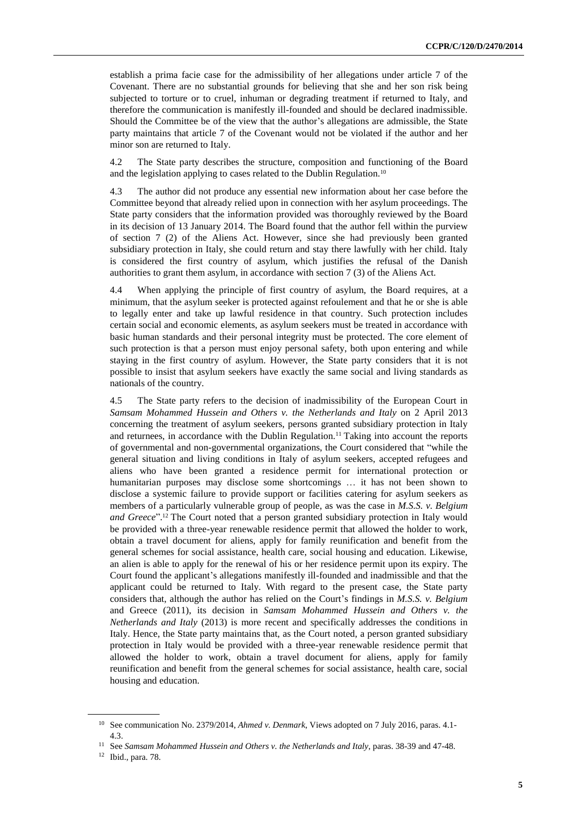establish a prima facie case for the admissibility of her allegations under article 7 of the Covenant. There are no substantial grounds for believing that she and her son risk being subjected to torture or to cruel, inhuman or degrading treatment if returned to Italy, and therefore the communication is manifestly ill-founded and should be declared inadmissible. Should the Committee be of the view that the author's allegations are admissible, the State party maintains that article 7 of the Covenant would not be violated if the author and her minor son are returned to Italy.

4.2 The State party describes the structure, composition and functioning of the Board and the legislation applying to cases related to the Dublin Regulation.<sup>10</sup>

4.3 The author did not produce any essential new information about her case before the Committee beyond that already relied upon in connection with her asylum proceedings. The State party considers that the information provided was thoroughly reviewed by the Board in its decision of 13 January 2014. The Board found that the author fell within the purview of section 7 (2) of the Aliens Act. However, since she had previously been granted subsidiary protection in Italy, she could return and stay there lawfully with her child. Italy is considered the first country of asylum, which justifies the refusal of the Danish authorities to grant them asylum, in accordance with section 7 (3) of the Aliens Act.

4.4 When applying the principle of first country of asylum, the Board requires, at a minimum, that the asylum seeker is protected against refoulement and that he or she is able to legally enter and take up lawful residence in that country. Such protection includes certain social and economic elements, as asylum seekers must be treated in accordance with basic human standards and their personal integrity must be protected. The core element of such protection is that a person must enjoy personal safety, both upon entering and while staying in the first country of asylum. However, the State party considers that it is not possible to insist that asylum seekers have exactly the same social and living standards as nationals of the country.

4.5 The State party refers to the decision of inadmissibility of the European Court in *Samsam Mohammed Hussein and Others v. the Netherlands and Italy* on 2 April 2013 concerning the treatment of asylum seekers, persons granted subsidiary protection in Italy and returnees, in accordance with the Dublin Regulation.<sup>11</sup> Taking into account the reports of governmental and non-governmental organizations, the Court considered that "while the general situation and living conditions in Italy of asylum seekers, accepted refugees and aliens who have been granted a residence permit for international protection or humanitarian purposes may disclose some shortcomings … it has not been shown to disclose a systemic failure to provide support or facilities catering for asylum seekers as members of a particularly vulnerable group of people, as was the case in *M.S.S. v. Belgium and Greece*". <sup>12</sup> The Court noted that a person granted subsidiary protection in Italy would be provided with a three-year renewable residence permit that allowed the holder to work, obtain a travel document for aliens, apply for family reunification and benefit from the general schemes for social assistance, health care, social housing and education. Likewise, an alien is able to apply for the renewal of his or her residence permit upon its expiry. The Court found the applicant's allegations manifestly ill-founded and inadmissible and that the applicant could be returned to Italy. With regard to the present case, the State party considers that, although the author has relied on the Court's findings in *M.S.S. v. Belgium* and Greece (2011), its decision in *Samsam Mohammed Hussein and Others v. the Netherlands and Italy* (2013) is more recent and specifically addresses the conditions in Italy. Hence, the State party maintains that, as the Court noted, a person granted subsidiary protection in Italy would be provided with a three-year renewable residence permit that allowed the holder to work, obtain a travel document for aliens, apply for family reunification and benefit from the general schemes for social assistance, health care, social housing and education.

<sup>10</sup> See communication No. 2379/2014, *Ahmed v. Denmark*, Views adopted on 7 July 2016, paras. 4.1- 4.3.

<sup>11</sup> See *Samsam Mohammed Hussein and Others v. the Netherlands and Italy*, paras. 38-39 and 47-48.

<sup>12</sup> Ibid., para. 78.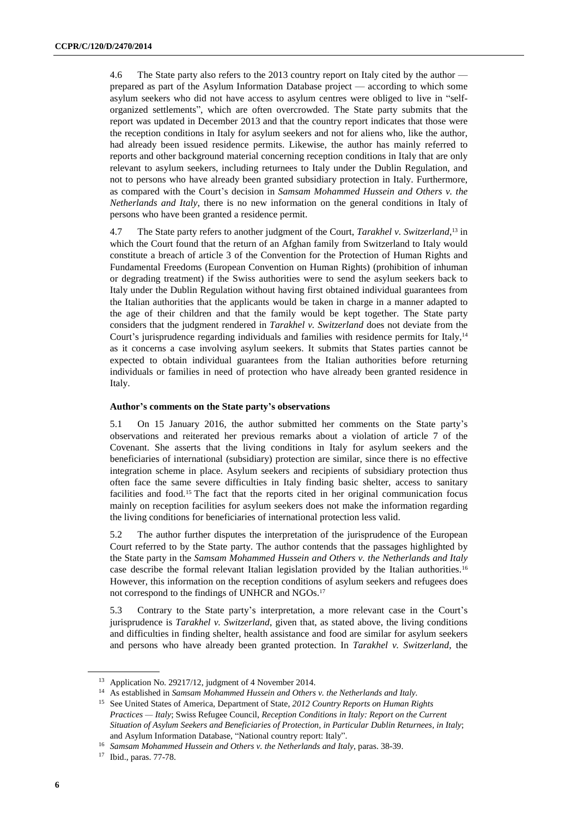4.6 The State party also refers to the 2013 country report on Italy cited by the author prepared as part of the Asylum Information Database project — according to which some asylum seekers who did not have access to asylum centres were obliged to live in "selforganized settlements", which are often overcrowded. The State party submits that the report was updated in December 2013 and that the country report indicates that those were the reception conditions in Italy for asylum seekers and not for aliens who, like the author, had already been issued residence permits. Likewise, the author has mainly referred to reports and other background material concerning reception conditions in Italy that are only relevant to asylum seekers, including returnees to Italy under the Dublin Regulation, and not to persons who have already been granted subsidiary protection in Italy. Furthermore, as compared with the Court's decision in *Samsam Mohammed Hussein and Others v. the Netherlands and Italy*, there is no new information on the general conditions in Italy of persons who have been granted a residence permit.

4.7 The State party refers to another judgment of the Court, *Tarakhel v. Switzerland*, <sup>13</sup> in which the Court found that the return of an Afghan family from Switzerland to Italy would constitute a breach of article 3 of the Convention for the Protection of Human Rights and Fundamental Freedoms (European Convention on Human Rights) (prohibition of inhuman or degrading treatment) if the Swiss authorities were to send the asylum seekers back to Italy under the Dublin Regulation without having first obtained individual guarantees from the Italian authorities that the applicants would be taken in charge in a manner adapted to the age of their children and that the family would be kept together. The State party considers that the judgment rendered in *Tarakhel v. Switzerland* does not deviate from the Court's jurisprudence regarding individuals and families with residence permits for Italy,<sup>14</sup> as it concerns a case involving asylum seekers. It submits that States parties cannot be expected to obtain individual guarantees from the Italian authorities before returning individuals or families in need of protection who have already been granted residence in Italy.

#### **Author's comments on the State party's observations**

5.1 On 15 January 2016, the author submitted her comments on the State party's observations and reiterated her previous remarks about a violation of article 7 of the Covenant. She asserts that the living conditions in Italy for asylum seekers and the beneficiaries of international (subsidiary) protection are similar, since there is no effective integration scheme in place. Asylum seekers and recipients of subsidiary protection thus often face the same severe difficulties in Italy finding basic shelter, access to sanitary facilities and food.<sup>15</sup> The fact that the reports cited in her original communication focus mainly on reception facilities for asylum seekers does not make the information regarding the living conditions for beneficiaries of international protection less valid.

5.2 The author further disputes the interpretation of the jurisprudence of the European Court referred to by the State party. The author contends that the passages highlighted by the State party in the *Samsam Mohammed Hussein and Others v. the Netherlands and Italy* case describe the formal relevant Italian legislation provided by the Italian authorities.<sup>16</sup> However, this information on the reception conditions of asylum seekers and refugees does not correspond to the findings of UNHCR and NGOs.<sup>17</sup>

5.3 Contrary to the State party's interpretation, a more relevant case in the Court's jurisprudence is *Tarakhel v. Switzerland*, given that, as stated above, the living conditions and difficulties in finding shelter, health assistance and food are similar for asylum seekers and persons who have already been granted protection. In *Tarakhel v. Switzerland*, the

<sup>13</sup> Application No. 29217/12, judgment of 4 November 2014.

<sup>14</sup> As established in *Samsam Mohammed Hussein and Others v. the Netherlands and Italy.*

<sup>15</sup> See United States of America, Department of State, *2012 Country Reports on Human Rights Practices — Italy*; Swiss Refugee Council, *Reception Conditions in Italy: Report on the Current Situation of Asylum Seekers and Beneficiaries of Protection, in Particular Dublin Returnees, in Italy*; and Asylum Information Database, "National country report: Italy".

<sup>16</sup> *Samsam Mohammed Hussein and Others v. the Netherlands and Italy*, paras. 38-39.

<sup>17</sup> Ibid., paras. 77-78.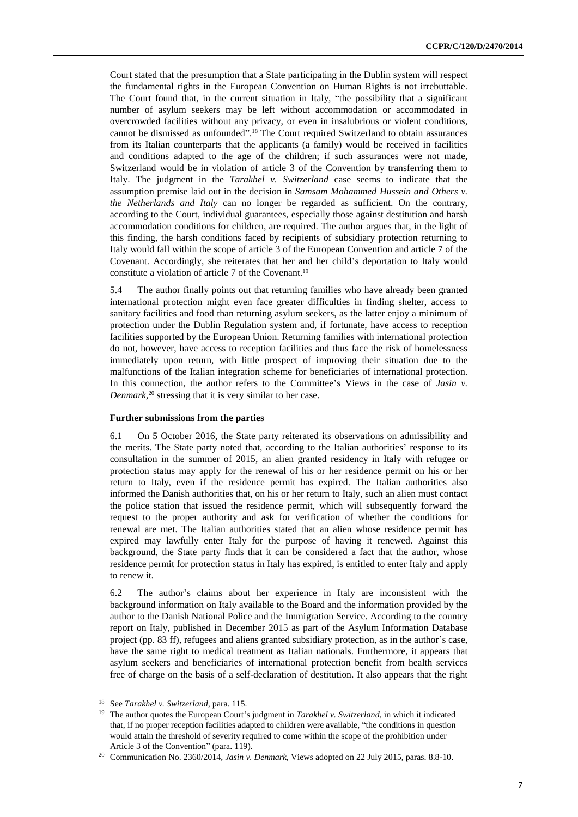Court stated that the presumption that a State participating in the Dublin system will respect the fundamental rights in the European Convention on Human Rights is not irrebuttable. The Court found that, in the current situation in Italy, "the possibility that a significant number of asylum seekers may be left without accommodation or accommodated in overcrowded facilities without any privacy, or even in insalubrious or violent conditions, cannot be dismissed as unfounded". <sup>18</sup> The Court required Switzerland to obtain assurances from its Italian counterparts that the applicants (a family) would be received in facilities and conditions adapted to the age of the children; if such assurances were not made, Switzerland would be in violation of article 3 of the Convention by transferring them to Italy. The judgment in the *Tarakhel v. Switzerland* case seems to indicate that the assumption premise laid out in the decision in *Samsam Mohammed Hussein and Others v. the Netherlands and Italy* can no longer be regarded as sufficient. On the contrary, according to the Court, individual guarantees, especially those against destitution and harsh accommodation conditions for children, are required. The author argues that, in the light of this finding, the harsh conditions faced by recipients of subsidiary protection returning to Italy would fall within the scope of article 3 of the European Convention and article 7 of the Covenant. Accordingly, she reiterates that her and her child's deportation to Italy would constitute a violation of article 7 of the Covenant.<sup>19</sup>

5.4 The author finally points out that returning families who have already been granted international protection might even face greater difficulties in finding shelter, access to sanitary facilities and food than returning asylum seekers, as the latter enjoy a minimum of protection under the Dublin Regulation system and, if fortunate, have access to reception facilities supported by the European Union. Returning families with international protection do not, however, have access to reception facilities and thus face the risk of homelessness immediately upon return, with little prospect of improving their situation due to the malfunctions of the Italian integration scheme for beneficiaries of international protection. In this connection, the author refers to the Committee's Views in the case of *Jasin v. Denmark*, <sup>20</sup> stressing that it is very similar to her case.

#### **Further submissions from the parties**

6.1 On 5 October 2016, the State party reiterated its observations on admissibility and the merits. The State party noted that, according to the Italian authorities' response to its consultation in the summer of 2015, an alien granted residency in Italy with refugee or protection status may apply for the renewal of his or her residence permit on his or her return to Italy, even if the residence permit has expired. The Italian authorities also informed the Danish authorities that, on his or her return to Italy, such an alien must contact the police station that issued the residence permit, which will subsequently forward the request to the proper authority and ask for verification of whether the conditions for renewal are met. The Italian authorities stated that an alien whose residence permit has expired may lawfully enter Italy for the purpose of having it renewed. Against this background, the State party finds that it can be considered a fact that the author, whose residence permit for protection status in Italy has expired, is entitled to enter Italy and apply to renew it.

6.2 The author's claims about her experience in Italy are inconsistent with the background information on Italy available to the Board and the information provided by the author to the Danish National Police and the Immigration Service. According to the country report on Italy, published in December 2015 as part of the Asylum Information Database project (pp. 83 ff), refugees and aliens granted subsidiary protection, as in the author's case, have the same right to medical treatment as Italian nationals. Furthermore, it appears that asylum seekers and beneficiaries of international protection benefit from health services free of charge on the basis of a self-declaration of destitution. It also appears that the right

<sup>18</sup> See *Tarakhel v. Switzerland,* para. 115.

<sup>19</sup> The author quotes the European Court's judgment in *Tarakhel v. Switzerland*, in which it indicated that, if no proper reception facilities adapted to children were available, "the conditions in question would attain the threshold of severity required to come within the scope of the prohibition under Article 3 of the Convention" (para. 119).

<sup>20</sup> Communication No. 2360/2014, *Jasin v. Denmark*, Views adopted on 22 July 2015, paras. 8.8-10.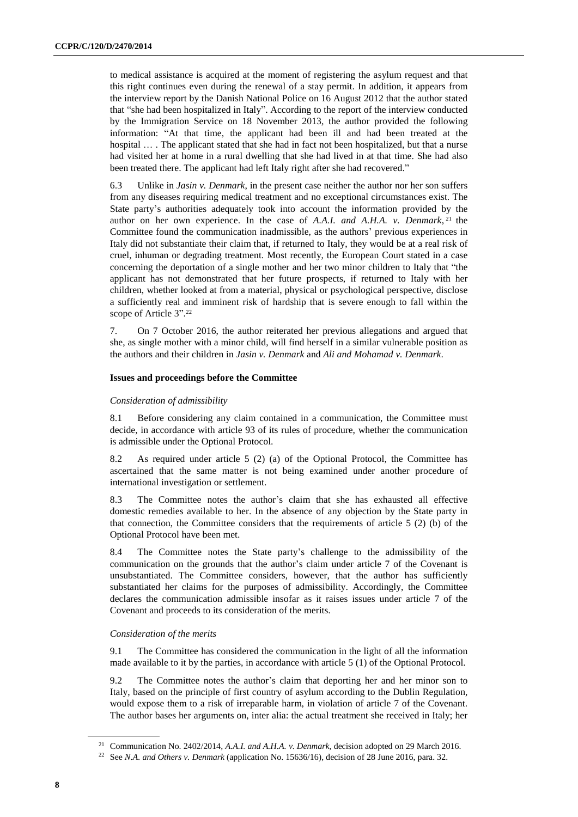to medical assistance is acquired at the moment of registering the asylum request and that this right continues even during the renewal of a stay permit. In addition, it appears from the interview report by the Danish National Police on 16 August 2012 that the author stated that "she had been hospitalized in Italy". According to the report of the interview conducted by the Immigration Service on 18 November 2013, the author provided the following information: "At that time, the applicant had been ill and had been treated at the hospital ... . The applicant stated that she had in fact not been hospitalized, but that a nurse had visited her at home in a rural dwelling that she had lived in at that time. She had also been treated there. The applicant had left Italy right after she had recovered."

6.3 Unlike in *Jasin v. Denmark*, in the present case neither the author nor her son suffers from any diseases requiring medical treatment and no exceptional circumstances exist. The State party's authorities adequately took into account the information provided by the author on her own experience. In the case of *A.A.I. and A.H.A. v. Denmark*, <sup>21</sup> the Committee found the communication inadmissible, as the authors' previous experiences in Italy did not substantiate their claim that, if returned to Italy, they would be at a real risk of cruel, inhuman or degrading treatment. Most recently, the European Court stated in a case concerning the deportation of a single mother and her two minor children to Italy that "the applicant has not demonstrated that her future prospects, if returned to Italy with her children, whether looked at from a material, physical or psychological perspective, disclose a sufficiently real and imminent risk of hardship that is severe enough to fall within the scope of Article 3". 22

7. On 7 October 2016, the author reiterated her previous allegations and argued that she, as single mother with a minor child, will find herself in a similar vulnerable position as the authors and their children in *Jasin v. Denmark* and *Ali and Mohamad v. Denmark*.

#### **Issues and proceedings before the Committee**

#### *Consideration of admissibility*

8.1 Before considering any claim contained in a communication, the Committee must decide, in accordance with article 93 of its rules of procedure, whether the communication is admissible under the Optional Protocol.

8.2 As required under article 5 (2) (a) of the Optional Protocol, the Committee has ascertained that the same matter is not being examined under another procedure of international investigation or settlement.

8.3 The Committee notes the author's claim that she has exhausted all effective domestic remedies available to her. In the absence of any objection by the State party in that connection, the Committee considers that the requirements of article  $5(2)$  (b) of the Optional Protocol have been met.

8.4 The Committee notes the State party's challenge to the admissibility of the communication on the grounds that the author's claim under article 7 of the Covenant is unsubstantiated. The Committee considers, however, that the author has sufficiently substantiated her claims for the purposes of admissibility. Accordingly, the Committee declares the communication admissible insofar as it raises issues under article 7 of the Covenant and proceeds to its consideration of the merits.

#### *Consideration of the merits*

9.1 The Committee has considered the communication in the light of all the information made available to it by the parties, in accordance with article 5 (1) of the Optional Protocol.

9.2 The Committee notes the author's claim that deporting her and her minor son to Italy, based on the principle of first country of asylum according to the Dublin Regulation, would expose them to a risk of irreparable harm, in violation of article 7 of the Covenant. The author bases her arguments on, inter alia: the actual treatment she received in Italy; her

<sup>21</sup> Communication No. 2402/2014, *A.A.I. and A.H.A. v. Denmark,* decision adopted on 29 March 2016.

<sup>22</sup> See *N.A. and Others v. Denmark* (application No. 15636/16), decision of 28 June 2016, para. 32.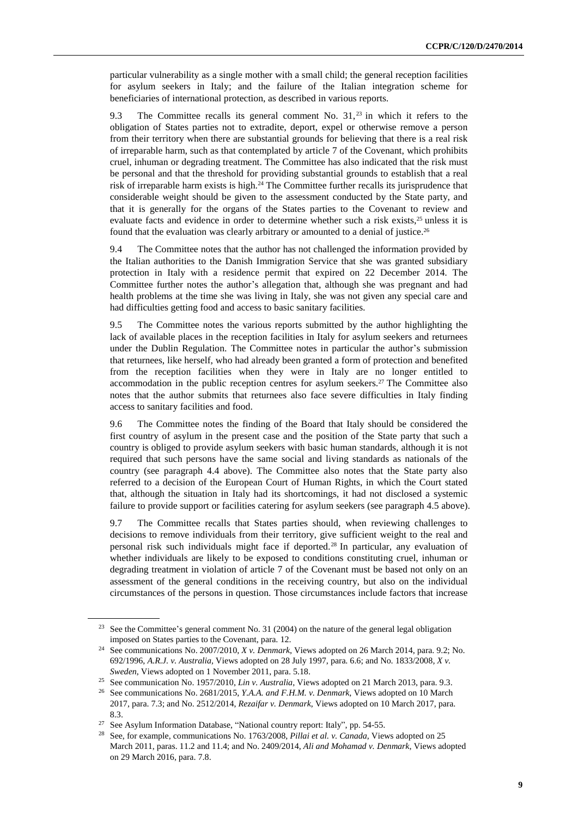particular vulnerability as a single mother with a small child; the general reception facilities for asylum seekers in Italy; and the failure of the Italian integration scheme for beneficiaries of international protection, as described in various reports.

9.3 The Committee recalls its general comment No.  $31<sub>1</sub>$ <sup>23</sup> in which it refers to the obligation of States parties not to extradite, deport, expel or otherwise remove a person from their territory when there are substantial grounds for believing that there is a real risk of irreparable harm, such as that contemplated by article 7 of the Covenant, which prohibits cruel, inhuman or degrading treatment. The Committee has also indicated that the risk must be personal and that the threshold for providing substantial grounds to establish that a real risk of irreparable harm exists is high.<sup>24</sup> The Committee further recalls its jurisprudence that considerable weight should be given to the assessment conducted by the State party, and that it is generally for the organs of the States parties to the Covenant to review and evaluate facts and evidence in order to determine whether such a risk exists,<sup>25</sup> unless it is found that the evaluation was clearly arbitrary or amounted to a denial of justice.<sup>26</sup>

9.4 The Committee notes that the author has not challenged the information provided by the Italian authorities to the Danish Immigration Service that she was granted subsidiary protection in Italy with a residence permit that expired on 22 December 2014. The Committee further notes the author's allegation that, although she was pregnant and had health problems at the time she was living in Italy, she was not given any special care and had difficulties getting food and access to basic sanitary facilities.

9.5 The Committee notes the various reports submitted by the author highlighting the lack of available places in the reception facilities in Italy for asylum seekers and returnees under the Dublin Regulation. The Committee notes in particular the author's submission that returnees, like herself, who had already been granted a form of protection and benefited from the reception facilities when they were in Italy are no longer entitled to accommodation in the public reception centres for asylum seekers.<sup>27</sup> The Committee also notes that the author submits that returnees also face severe difficulties in Italy finding access to sanitary facilities and food.

9.6 The Committee notes the finding of the Board that Italy should be considered the first country of asylum in the present case and the position of the State party that such a country is obliged to provide asylum seekers with basic human standards, although it is not required that such persons have the same social and living standards as nationals of the country (see paragraph 4.4 above). The Committee also notes that the State party also referred to a decision of the European Court of Human Rights, in which the Court stated that, although the situation in Italy had its shortcomings, it had not disclosed a systemic failure to provide support or facilities catering for asylum seekers (see paragraph 4.5 above).

9.7 The Committee recalls that States parties should, when reviewing challenges to decisions to remove individuals from their territory, give sufficient weight to the real and personal risk such individuals might face if deported.<sup>28</sup> In particular, any evaluation of whether individuals are likely to be exposed to conditions constituting cruel, inhuman or degrading treatment in violation of article 7 of the Covenant must be based not only on an assessment of the general conditions in the receiving country, but also on the individual circumstances of the persons in question. Those circumstances include factors that increase

<sup>&</sup>lt;sup>23</sup> See the Committee's general comment No. 31 (2004) on the nature of the general legal obligation imposed on States parties to the Covenant, para. 12.

<sup>24</sup> See communications No. 2007/2010, *X v. Denmark*, Views adopted on 26 March 2014, para. 9.2; No. 692/1996, *A.R.J. v. Australia,* Views adopted on 28 July 1997, para. 6.6; and No. 1833/2008*, X v. Sweden*, Views adopted on 1 November 2011, para. 5.18.

<sup>25</sup> See communication No. 1957/2010, *Lin v. Australia*, Views adopted on 21 March 2013, para. 9.3.

<sup>26</sup> See communications No. 2681/2015, *Y.A.A. and F.H.M. v. Denmark*, Views adopted on 10 March 2017, para. 7.3; and No. 2512/2014, *Rezaifar v. Denmark*, Views adopted on 10 March 2017, para. 8.3.

<sup>27</sup> See Asylum Information Database, "National country report: Italy", pp. 54-55.

<sup>28</sup> See, for example, communications No. 1763/2008, *Pillai et al. v. Canada*, Views adopted on 25 March 2011, paras. 11.2 and 11.4; and No. 2409/2014, *Ali and Mohamad v. Denmark*, Views adopted on 29 March 2016, para. 7.8.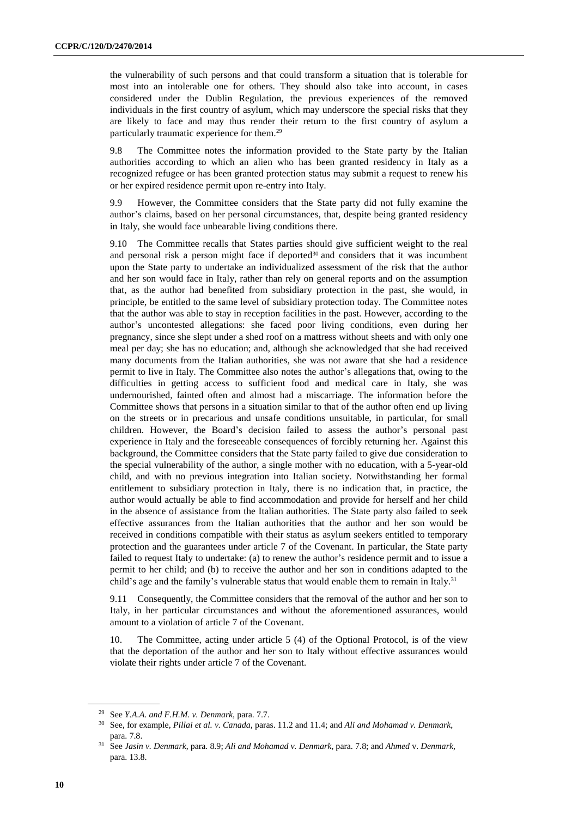the vulnerability of such persons and that could transform a situation that is tolerable for most into an intolerable one for others. They should also take into account, in cases considered under the Dublin Regulation, the previous experiences of the removed individuals in the first country of asylum, which may underscore the special risks that they are likely to face and may thus render their return to the first country of asylum a particularly traumatic experience for them.<sup>29</sup>

9.8 The Committee notes the information provided to the State party by the Italian authorities according to which an alien who has been granted residency in Italy as a recognized refugee or has been granted protection status may submit a request to renew his or her expired residence permit upon re-entry into Italy.

9.9 However, the Committee considers that the State party did not fully examine the author's claims, based on her personal circumstances, that, despite being granted residency in Italy, she would face unbearable living conditions there.

9.10 The Committee recalls that States parties should give sufficient weight to the real and personal risk a person might face if deported<sup>30</sup> and considers that it was incumbent upon the State party to undertake an individualized assessment of the risk that the author and her son would face in Italy, rather than rely on general reports and on the assumption that, as the author had benefited from subsidiary protection in the past, she would, in principle, be entitled to the same level of subsidiary protection today. The Committee notes that the author was able to stay in reception facilities in the past. However, according to the author's uncontested allegations: she faced poor living conditions, even during her pregnancy, since she slept under a shed roof on a mattress without sheets and with only one meal per day; she has no education; and, although she acknowledged that she had received many documents from the Italian authorities, she was not aware that she had a residence permit to live in Italy. The Committee also notes the author's allegations that, owing to the difficulties in getting access to sufficient food and medical care in Italy, she was undernourished, fainted often and almost had a miscarriage. The information before the Committee shows that persons in a situation similar to that of the author often end up living on the streets or in precarious and unsafe conditions unsuitable, in particular, for small children. However, the Board's decision failed to assess the author's personal past experience in Italy and the foreseeable consequences of forcibly returning her. Against this background, the Committee considers that the State party failed to give due consideration to the special vulnerability of the author, a single mother with no education, with a 5-year-old child, and with no previous integration into Italian society. Notwithstanding her formal entitlement to subsidiary protection in Italy, there is no indication that, in practice, the author would actually be able to find accommodation and provide for herself and her child in the absence of assistance from the Italian authorities. The State party also failed to seek effective assurances from the Italian authorities that the author and her son would be received in conditions compatible with their status as asylum seekers entitled to temporary protection and the guarantees under article 7 of the Covenant. In particular, the State party failed to request Italy to undertake: (a) to renew the author's residence permit and to issue a permit to her child; and (b) to receive the author and her son in conditions adapted to the child's age and the family's vulnerable status that would enable them to remain in Italy.<sup>31</sup>

9.11 Consequently, the Committee considers that the removal of the author and her son to Italy, in her particular circumstances and without the aforementioned assurances, would amount to a violation of article 7 of the Covenant.

10. The Committee, acting under article 5 (4) of the Optional Protocol, is of the view that the deportation of the author and her son to Italy without effective assurances would violate their rights under article 7 of the Covenant.

<sup>29</sup> See *Y.A.A. and F.H.M. v. Denmark*, para. 7.7.

<sup>30</sup> See, for example, *Pillai et al. v. Canada*, paras. 11.2 and 11.4; and *Ali and Mohamad v. Denmark*, para. 7.8.

<sup>31</sup> See *Jasin v. Denmark*, para. 8.9; *Ali and Mohamad v. Denmark*, para. 7.8; and *Ahmed* v. *Denmark*, para. 13.8.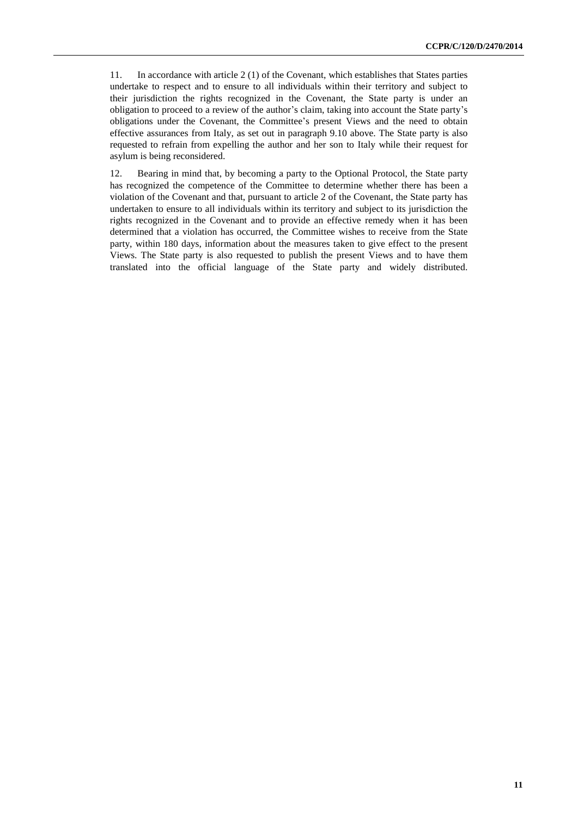11. In accordance with article 2 (1) of the Covenant, which establishes that States parties undertake to respect and to ensure to all individuals within their territory and subject to their jurisdiction the rights recognized in the Covenant, the State party is under an obligation to proceed to a review of the author's claim, taking into account the State party's obligations under the Covenant, the Committee's present Views and the need to obtain effective assurances from Italy, as set out in paragraph 9.10 above. The State party is also requested to refrain from expelling the author and her son to Italy while their request for asylum is being reconsidered.

12. Bearing in mind that, by becoming a party to the Optional Protocol, the State party has recognized the competence of the Committee to determine whether there has been a violation of the Covenant and that, pursuant to article 2 of the Covenant, the State party has undertaken to ensure to all individuals within its territory and subject to its jurisdiction the rights recognized in the Covenant and to provide an effective remedy when it has been determined that a violation has occurred, the Committee wishes to receive from the State party, within 180 days, information about the measures taken to give effect to the present Views. The State party is also requested to publish the present Views and to have them translated into the official language of the State party and widely distributed.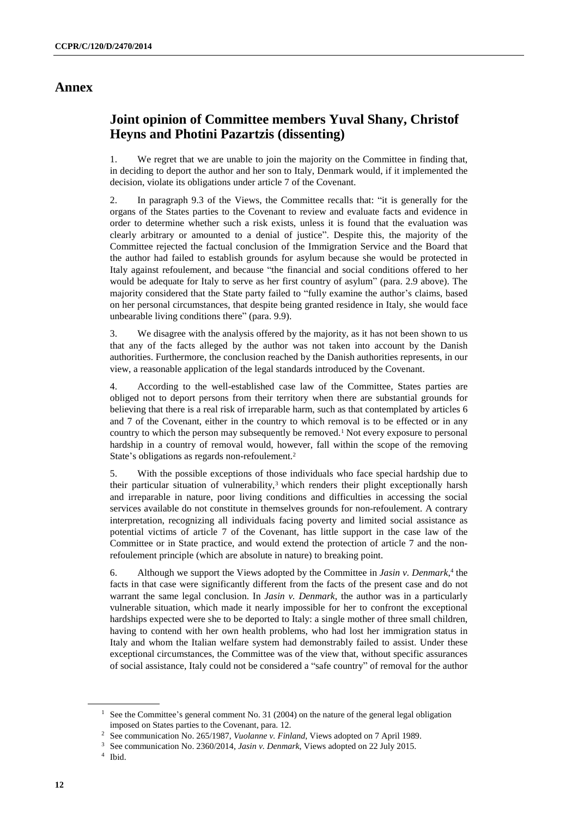### **Annex**

### **Joint opinion of Committee members Yuval Shany, Christof Heyns and Photini Pazartzis (dissenting)**

1. We regret that we are unable to join the majority on the Committee in finding that, in deciding to deport the author and her son to Italy, Denmark would, if it implemented the decision, violate its obligations under article 7 of the Covenant.

2. In paragraph 9.3 of the Views, the Committee recalls that: "it is generally for the organs of the States parties to the Covenant to review and evaluate facts and evidence in order to determine whether such a risk exists, unless it is found that the evaluation was clearly arbitrary or amounted to a denial of justice". Despite this, the majority of the Committee rejected the factual conclusion of the Immigration Service and the Board that the author had failed to establish grounds for asylum because she would be protected in Italy against refoulement, and because "the financial and social conditions offered to her would be adequate for Italy to serve as her first country of asylum" (para. 2.9 above). The majority considered that the State party failed to "fully examine the author's claims, based on her personal circumstances, that despite being granted residence in Italy, she would face unbearable living conditions there" (para. 9.9).

3. We disagree with the analysis offered by the majority, as it has not been shown to us that any of the facts alleged by the author was not taken into account by the Danish authorities. Furthermore, the conclusion reached by the Danish authorities represents, in our view, a reasonable application of the legal standards introduced by the Covenant.

4. According to the well-established case law of the Committee, States parties are obliged not to deport persons from their territory when there are substantial grounds for believing that there is a real risk of irreparable harm, such as that contemplated by articles 6 and 7 of the Covenant, either in the country to which removal is to be effected or in any country to which the person may subsequently be removed.<sup>1</sup> Not every exposure to personal hardship in a country of removal would, however, fall within the scope of the removing State's obligations as regards non-refoulement.<sup>2</sup>

5. With the possible exceptions of those individuals who face special hardship due to their particular situation of vulnerability,<sup>3</sup> which renders their plight exceptionally harsh and irreparable in nature, poor living conditions and difficulties in accessing the social services available do not constitute in themselves grounds for non-refoulement. A contrary interpretation, recognizing all individuals facing poverty and limited social assistance as potential victims of article 7 of the Covenant, has little support in the case law of the Committee or in State practice, and would extend the protection of article 7 and the nonrefoulement principle (which are absolute in nature) to breaking point.

6. Although we support the Views adopted by the Committee in *Jasin v. Denmark*, 4 the facts in that case were significantly different from the facts of the present case and do not warrant the same legal conclusion. In *Jasin v. Denmark*, the author was in a particularly vulnerable situation, which made it nearly impossible for her to confront the exceptional hardships expected were she to be deported to Italy: a single mother of three small children, having to contend with her own health problems, who had lost her immigration status in Italy and whom the Italian welfare system had demonstrably failed to assist. Under these exceptional circumstances, the Committee was of the view that, without specific assurances of social assistance, Italy could not be considered a "safe country" of removal for the author

<sup>&</sup>lt;sup>1</sup> See the Committee's general comment No. 31 (2004) on the nature of the general legal obligation imposed on States parties to the Covenant, para. 12.

<sup>2</sup> See communication No. 265/1987, *Vuolanne v. Finland*, Views adopted on 7 April 1989.

<sup>3</sup> See communication No. 2360/2014, *Jasin v. Denmark*, Views adopted on 22 July 2015.

<sup>4</sup> Ibid.